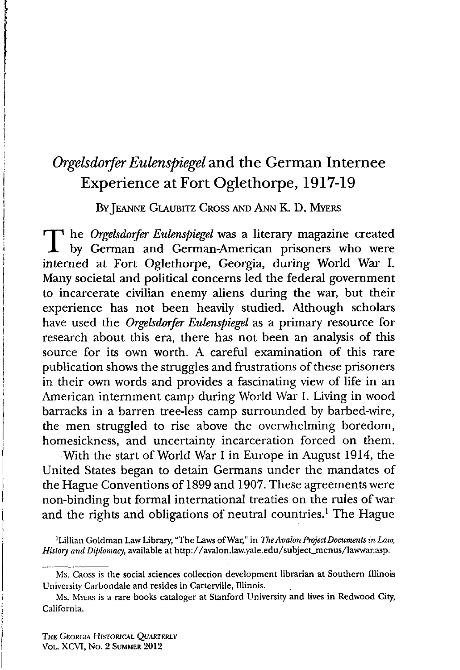## *Orgelsdorfer Eulenspiegel* **and the German Internee Experience at Fort Oglethorpe, 1917-19**

BY JEANNE GLAUBITZ CROSS AND ANN K. D. MYERS

The *Orgelsdorfer Eulenspiegel* was a literary magazine created<br>by German and German-American prisoners who were by German and German-American prisoners who were interned at Fort Oglethorpe, Georgia, during World War I. Many societal and political concerns led the federal government to incarcerate civilian enemy aliens during the war, but their experience has not been heavily studied. Although scholars have used the *Orgelsdorfer Eulenspiegel* as a primary resource for research about this era, there has not been an analysis of this source for its own worth. A careful examination of this rare publication shows the struggles and frustrations of these prisoners in their own words and provides a fascinating view of life in an American internment camp during World War I. Living in wood barracks in a barren tree-less camp surrounded by barbed-wire, the men struggled to rise above the overwhelming boredom, homesickness, and uncertainty incarceration forced on them.

With the start of World War I in Europe in August 1914, the United States began to detain Germans under the mandates of the Hague Conventions of 1899 and 1907. These agreements were non-binding but formal international treaties on the rules of war and the rights and obligations of neutral countries.<sup>1</sup> The Hague

1 Lillian Goldman Law Library, "The Laws of War," in *The Avalon Project Documents in Law, History and Diplomacy,* available at [http://avalon.law.yale.edu/subject\\_menus/lawwar.asp](http://avalon.law.yale.edu/subject_menus/lawwar.asp).

Ms. Cross is the social sciences collection development librarian at Southern Illinois University Carbondale and resides in Carterville, Illinois.

Ms. Myers is a rare books cataloger at Stanford University and lives in Redwood City, California.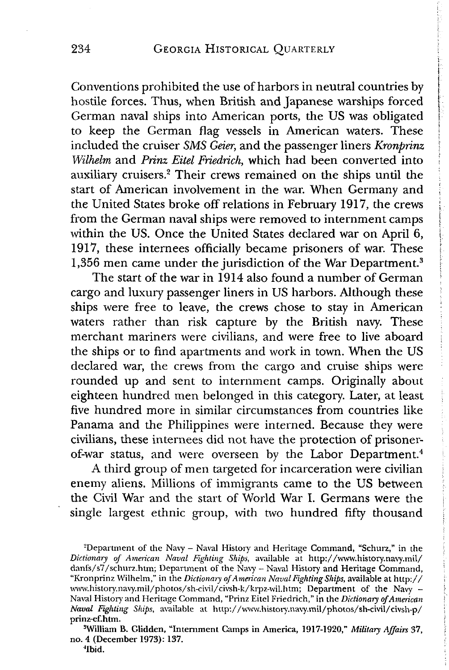Conventions prohibited the use of harbors in neutral countries by hostile forces. Thus, when British and Japanese warships forced German naval ships into American ports, the US was obligated to keep the German flag vessels in American waters. These included the cruiser *SMS Geier*, and the passenger liners *Kronprinz Wilhelm* and *Prinz Eitel Friedrich,* which had been converted into ; auxiliary cruisers.2 Their crews remained on the ships until the start of American involvement in the war. When Germany and the United States broke off relations in February 1917, the crews from the German naval ships were removed to internment camps within the US. Once the United States declared war on April  $6$ , 1917, these internees officially became prisoners of war. These 1,356 men came under the jurisdiction of the War Department.<sup>3</sup>

The start of the war in 1914 also found a number of German cargo and luxury passenger liners in US harbors. Although these ships were free to leave, the crews chose to stay in American waters rather than risk capture by the British navy. These merchant mariners were civilians, and were free to live aboard the ships or to find apartments and work in town. When the US declared war, the crews from the cargo and cruise ships were rounded up and sent to internment camps. Originally about eighteen hundred men belonged in this category. Later, at least five hundred more in similar circumstances from countries like Panama and the Philippines were interned. Because they were civilians, these internees did not have the protection of prisonerof-war status, and were overseen by the Labor Department.<sup>4</sup>

A third group of men targeted for incarceration were civilian enemy aliens. Millions of immigrants came to the US between the Civil War and the start of World War I. Germans were the single largest ethnic group, with two hundred fifty thousand

'William B. Glidden, "Internment Camps in America, 1917-1920," *Military Affairs* 37, no. 4 (December 1973): 137. 4Ibid.

<sup>&</sup>lt;sup>2</sup>Department of the Navy – Naval History and Heritage Command, "Schurz," in the *Dictionary of American Naval Fighting Ships,* available at <http://vwvw.history.navy.mil/> danfs/s7/schurz.htm; Department of the Navy - Naval History and Heritage Command, "Kronprinz Wilhelm," in the *Dictionary of American Naval Fighting Ships,* available at h ttp:// vwvw.history.navy.mil/photos/sh-civil/civsh-k/krpz-vvil.htm; Department of the Navy - Naval History' and Heritage Command, "Prinz Eitel Friedrich," in the *Dictionary of American Naval Fighting Ships,* available at <http://vwvvv.history.navy.mil/photos/sh-civil/civsh-p/> prinz-ef.htm.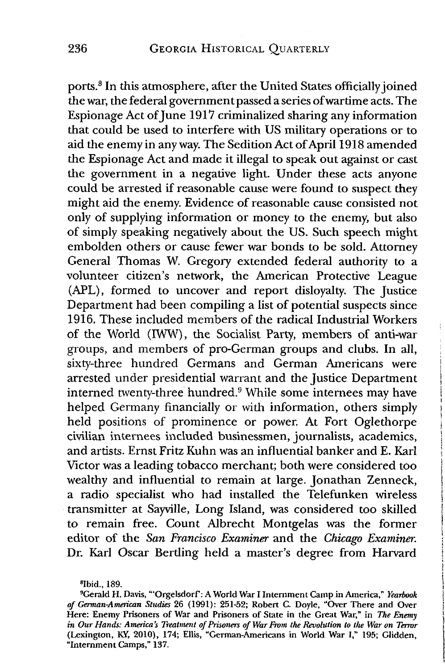ports.8 In this atmosphere, after the United States officially joined the war, the federal government passed a series of wartime acts. The Espionage Act of June 1917 criminalized sharing any information that could be used to interfere with US military operations or to aid the enemy in any way. The Sedition Act of April 1918 amended the Espionage Act and made it illegal to speak out against or cast the government in a negative light. Under these acts anyone could be arrested if reasonable cause were found to suspect they might aid the enemy. Evidence of reasonable cause consisted not only of supplying information or money to the enemy, but also of simply speaking negatively about the US. Such speech might embolden others or cause fewer war bonds to be sold. Attorney General Thomas W. Gregory extended federal authority to a volunteer citizen's network, the American Protective League (APL), formed to uncover and report disloyalty. The Justice Department had been compiling a list of potential suspects since 1916. These included members of the radical Industrial Workers of the World (IWW), the Socialist Party, members of anti-war groups, and members of pro-German groups and clubs. In all, sixty-three hundred Germans and German Americans were arrested under presidential warrant and the Justice Department interned twenty-three hundred.9 While some internees may have helped Germany financially or with information, others simply held positions of prominence or power. At Fort Oglethorpe civilian internees included businessmen, journalists, academics, and artists. Ernst Fritz Kuhn was an influential banker and E. Karl Victor was a leading tobacco merchant; both were considered too wealthy and influential to remain at large. Jonathan Zenneck, a radio specialist who had installed the Telefunken wireless transmitter at Sayville, Long Island, was considered too skilled to remain free. Count Albrecht Montgelas was the former editor of the Son *Francisco Examiner* and the *Chicago Examiner.* Dr. Karl Oscar Bertling held a master's degree from Harvard

<sup>8</sup>Ibid., 189.

<sup>9</sup>Gerald H. Davis, "'Orgelsdorf: A World War I Internment Camp in America," *Yearbook of German-American Studies* 26 (1991): 251-52; Robert C. Doyle, "Over There and Over Here: Enemy Prisoners of War and Prisoners of State in the Great War," in *The Enemy in Our Hands: America's Treatment of Prisoners of War From the Revolution to the War on Terror* (Lexington, KY, 2010), 174; Ellis, "German-Americans in World War I," 195; Glidden, "Internment Camps," 137.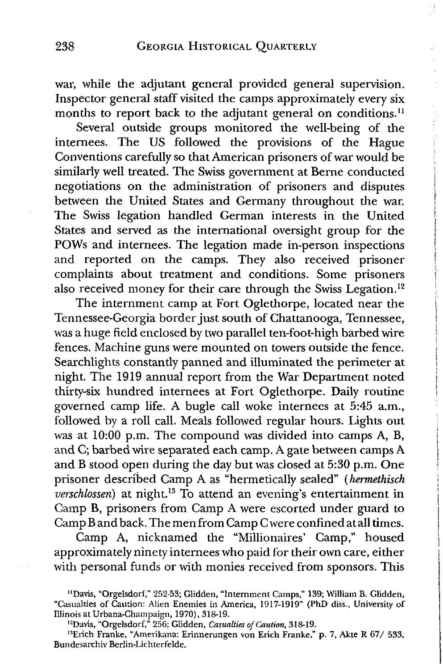war, while the adjutant general provided general supervision. Inspector general staff visited the camps approximately every six months to report back to the adjutant general on conditions.<sup>11</sup>

化四极性 医阿拉伯氏试验检胆囊

Several outside groups monitored the well-being of the internees. The US followed the provisions of die Hague Conventions carefully so that American prisoners of war would be similarly well treated. The Swiss government at Berne conducted negotiations on the administration of prisoners and disputes between the United States and Germany throughout the war. The Swiss legation handled German interests in the United States and served as the international oversight group for the POWs and internees. The legation made in-person inspections and reported on the camps. They also received prisoner complaints about treatment and conditions. Some prisoners also received money for their care through the Swiss Legation.<sup>12</sup>

The internment camp at Fort Oglethorpe, located near the Tennessee-Georgia border just south of Chattanooga, Tennessee, was a huge field enclosed by two parallel ten-foot-high barbed wire fences. Machine guns were mounted on towers outside the fence. Searchlights constantly panned and illuminated the perimeter at night. The 1919 annual report from the War Department noted thirty-six hundred internees at Fort Oglethorpe. Daily routine governed camp life. A bugle call woke internees at 5:45 a.m., followed by a roll call. Meals followed regular hours. Lights out was at 10:00 p.m. The compound was divided into camps A, B, and C; barbed wire separated each camp. A gate between camps A and B stood open during the day but was closed at 5:30 p.m. One prisoner described Camp A as "hermetically sealed" *(hermethisch verschlossen)* at night.13 To attend an evening's entertainment in Gamp B, prisoners from Camp A were escorted under guard to Camp B and back. The men from Camp C were confined at all times.

Camp A, nicknamed the "Millionaires' Camp," housed approximately ninety internees who paid for their own care, either with personal funds or with monies received from sponsors. This

<sup>&</sup>lt;sup>11</sup>Davis, "Orgelsdorf," 252-53; Glidden, "Internment Camps," 139; William B. Glidden, "Casualties of Caution: Alien Enemies in America, 1917-19i9" (PhD diss., University of Illinois at Urbana-Champaign, 1970), 318-19.

<sup>&</sup>lt;sup>12</sup>Davis, "Orgelsdorf," 256; Glidden, *Casualties of Caution*, 318-19.

<sup>&</sup>lt;sup>13</sup>Erich Franke, "Amerikana: Erinnerungen von Erich Franke," p. 7, Akte R 67/ 533, Bundesarchiv Berlin-Lichterfelde.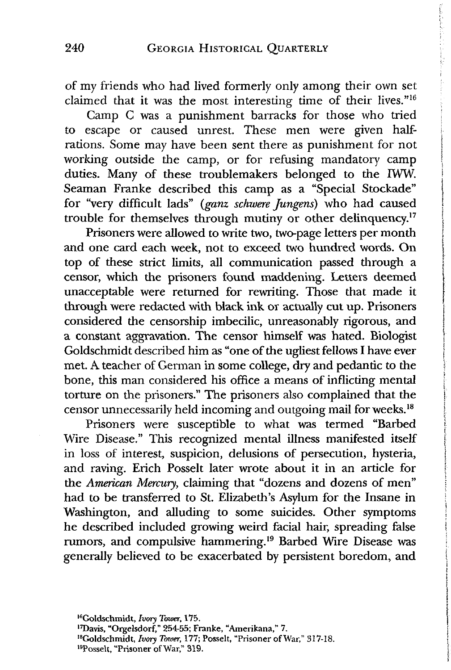of my friends who had lived formerly only among their own set claimed that it was the most interesting time of their lives."<sup>16</sup>

Camp C was a punishment barracks for those who tried to escape or caused unrest. These men were given halfrations. Some may have been sent there as punishment for not working outside the camp, or for refusing mandatory camp duties. Many of these troublemakers belonged to the IWW. Seaman Franke described this camp as a "Special Stockade" for "very difficult lads" *(ganz schwere Jungens)* who had caused trouble for themselves through mutiny or other delinquency.<sup>17</sup>

Prisoners were allowed to write two, two-page letters per month and one card each week, not to exceed two hundred words. On top of these strict limits, all communication passed through a censor, which the prisoners found maddening. Letters deemed unacceptable were returned for rewriting. Those that made it through were redacted with black ink or actually cut up. Prisoners considered the censorship imbecilic, unreasonably rigorous, and a constant aggravation. The censor himself was hated. Biologist Goldschmidt described him as "one of the ugliest fellows I have ever met. A teacher of German in some college, dry and pedantic to the bone, this man considered his office a means of inflicting mental torture on the prisoners." The prisoners also complained that the censor unnecessarily held incoming and outgoing mail for weeks.18

Prisoners were susceptible to what was termed "Barbed Wire Disease." This recognized mental illness manifested itself in loss of interest, suspicion, delusions of persecution, hysteria, and raving. Erich Posselt later wrote about it in an article for the *American Mercury,* claiming that "dozens and dozens of men" had to be transferred to St. Elizabeth's Asylum for the Insane in Washington, and alluding to some suicides. Other symptoms he described included growing weird facial hair, spreading false rumors, and compulsive hammering.19 Barbed Wire Disease was generally believed to be exacerbated by persistent boredom, and

l7Davis, "Orgelsdorf," 254-55; Franke, "Amerikana," 7.

<sup>18</sup>Goldschmidt, *Ivory Tower*, 177; Posselt, "Prisoner of War," 317-18.

■'Posselt, "Prisoner of War," 319.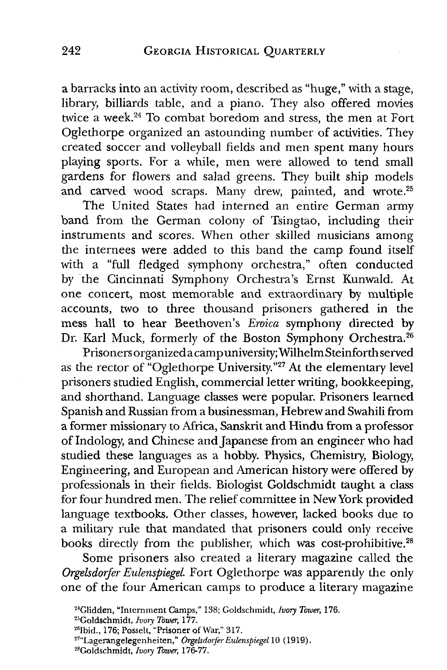a barracks into an activity room, described as "huge," with a stage, library, billiards table, and a piano. They also offered movies twice a week.24 To combat boredom and stress, the men at Fort Oglethorpe organized an astounding number of activities. They created soccer and volleyball fields and men spent many hours playing sports. For a while, men were allowed to tend small gardens for flowers and salad greens. They built ship models and carved wood scraps. Many drew, painted, and wrote.<sup>25</sup>

The United States had interned an entire German army band from the German colony of Tsingtao, including their instruments and scores. When other skilled musicians among the internees were added to this band the camp found itself with a "full fledged symphony orchestra," often conducted by the Cincinnati Symphony Orchestra's Ernst Kunwald. At one concert, most memorable and extraordinary by multiple accounts, two to three thousand prisoners gathered in the mess hall to hear Beethoven's *Eroica* symphony directed by Dr. Karl Muck, formerly of the Boston Symphony Orchestra.<sup>26</sup>

Prisoners organized a camp university; Wilhelm Steinfordi served as the rector of "Oglethorpe University."<sup>27</sup> At the elementary level prisoners studied English, commercial letter writing, bookkeeping, and shorthand. Language classes were popular. Prisoners learned Spanish and Russian from a businessman, Hebrew and Swahili from a former missionary to Africa, Sanskrit and Hindu from a professor of Indology, and Chinese and Japanese from an engineer who had studied these languages as a hobby. Physics, Chemistry, Biology, Engineering, and European and American history were offered by professionals in their fields. Biologist Goldschmidt taught a class for four hundred men. The relief committee in New York provided language textbooks. Other classes, however, lacked books due to a military rule that mandated that prisoners could only receive books directly from the publisher, which was cost-prohibitive.<sup>28</sup>

Some prisoners also created a literary magazine called the *Orgelsdorfer Eulenspiegel.* Fort Oglethorpe was apparently the only one of the four American camps to produce a literary magazine

<sup>&</sup>quot; Glidden, "Internment Camps," 138; Goldschmidt, *Ivory Toxuer,* 176.

<sup>&</sup>quot; Goldschmidt, *Ivory Tower,* 177.

<sup>&</sup>lt;sup>26</sup>Ibid., 176; Posselt, "Prisoner of War," 317.

<sup>27&</sup>quot;Lagerangelegenheiten," *Orgelsdorfer Eulenspiegel* 10 (1919).

<sup>&</sup>quot; Goldschmidt, *Ivory Tower,* 176-77.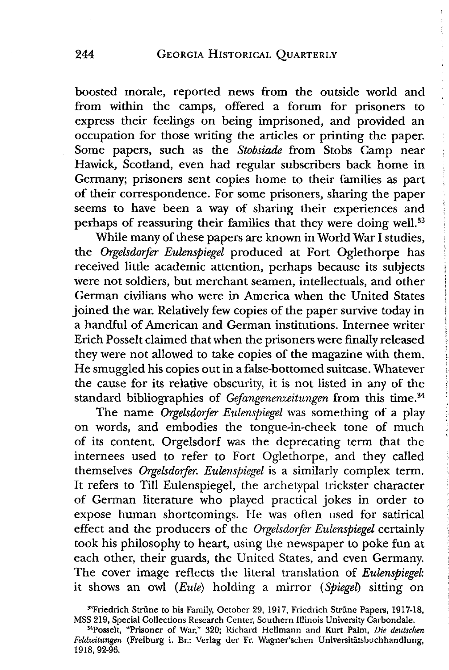boosted morale, reported news from the outside world and from within the camps, offered a forum for prisoners to express their feelings on being imprisoned, and provided an occupation for those writing the articles or printing the paper. Some papers, such as the *Stobsiade* from Stobs Camp near Hawick, Scotland, even had regular subscribers back home in Germany; prisoners sent copies home to their families as part of their correspondence. For some prisoners, sharing the paper seems to have been a way of sharing their experiences and perhaps of reassuring their families that they were doing well.<sup>33</sup>

While many of these papers are known in World War I studies, the *Orgelsdorfer Eulenspiegel* produced at Fort Oglethorpe has received little academic attention, perhaps because its subjects were not soldiers, but merchant seamen, intellectuals, and other German civilians who were in America when the United States joined the war. Relatively few copies of the paper survive today in a handful of American and German institutions. Internee writer Erich Posselt claimed that when the prisoners were finally released they were not allowed to take copies of the magazine with them. He smuggled his copies out in a false-bottomed suitcase. Whatever the cause for its relative obscurity, it is not listed in any of the standard bibliographies of *Gefangenenzeitungen* from this time.<sup>34</sup>

The name *Orgelsdorfer Eulenspiegel* was something of a play on words, and embodies the tongue-in-cheek tone of much of its content. Orgelsdorf was the deprecating term that the internees used to refer to Fort Oglethorpe, and they called themselves *Orgelsdorfer. Eulenspiegel* is a similarly complex term. It refers to Till Eulenspiegel, the archetypal trickster character of German literature who played practical jokes in order to expose human shortcomings. He was often used for satirical effect and the producers of the *Orgelsdorfer Eulenspiegel* certainly took his philosophy to heart, using the newspaper to poke fun at each other, their guards, the United States, and even Germany. The cover image reflects the literal translation of *Eulenspiegel*: it shows an owl *(Eule)* holding a mirror (*Spiegel)* sitting on

<sup>&</sup>lt;sup>33</sup>Friedrich Strüne to his Family, October 29, 1917, Friedrich Strüne Papers, 1917-18, MSS 219, Special Collections Research Center, Southern Illinois University Carbondale.

MPosselt, "Prisoner of War," 320; Richard Hellmann and Kurt Palm, *Die deutschen Feldzeitungen* (Freiburg i. Br.: Verlag der Fr. Wagner'schen Universitatsbuchhandlung, 1918, 92-96.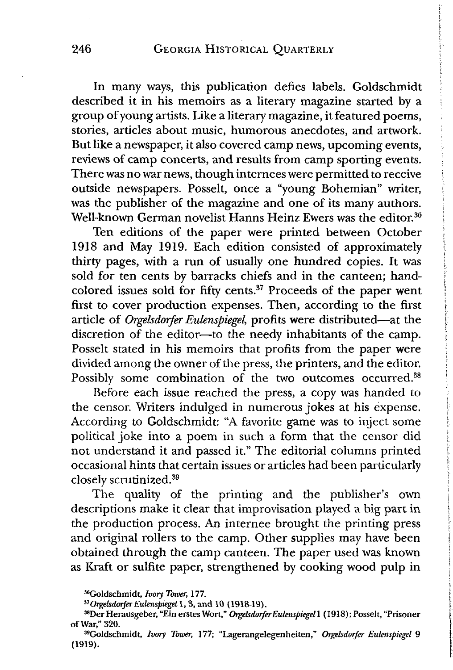In many ways, this publication defies labels. Goldschmidt described it in his memoirs as a literary magazine started by a group of young artists. Like a literary magazine, it featured poems, stories, articles about music, humorous anecdotes, and artwork. But like a newspaper, it also covered camp news, upcoming events, reviews of camp concerts, and results from camp sporting events. There was no war news, though internees were permitted to receive outside newspapers. Posselt, once a "young Bohemian" writer, was the publisher of the magazine and one of its many authors. Well-known German novelist Hanns Heinz Ewers was the editor.<sup>36</sup>

Ten editions of the paper were printed between October 1918 and May 1919. Each edition consisted of approximately thirty pages, with a run of usually one hundred copies. It was sold for ten cents by barracks chiefs and in the canteen; handcolored issues sold for fifty cents.<sup>37</sup> Proceeds of the paper went first to cover production expenses. Then, according to the first article of *Orgelsdorfer Eulenspiegel,* profits were distributed—at the discretion of the editor—to the needy inhabitants of the camp. Posselt stated in his memoirs that profits from the paper were divided among the owner of the press, the printers, and the editor. Possibly some combination of the two outcomes occurred.<sup>38</sup>

Before each issue reached the press, a copy was handed to the censor. Writers indulged in numerous jokes at his expense. According to Goldschmidt: "A favorite game was to inject some political joke into a poem in such a form that the censor did not understand it and passed it." The editorial columns printed occasional hints that certain issues or articles had been particularly closely scrutinized.39

The quality of the printing and the publisher's own descriptions make it clear that improvisation played a big part in the production process. An internee brought the printing press and original rollers to the camp. Other supplies may have been obtained through the camp canteen. The paper used was known as Kraft or sulfite paper, strengthened by cooking wood pulp in

57 *Orgelsdorfer Eulenspiegel* 1, 3, and 10 (1918-19).

<sup>&</sup>quot; Goldschmidt, *Ivory Tower,* 177.

<sup>&</sup>quot; Der Herausgeber, "Ein erstes Wort," *Orgelsdorfer Eulenspiegel* 1 (1918); Posselt, "Prisoner of War," 320.

<sup>&</sup>quot; Goldschmidt, *Ivory Tower,* 177; "Lagerangelegenheiten," *Orgelsdorfer Eulenspiegel* 9 (1919).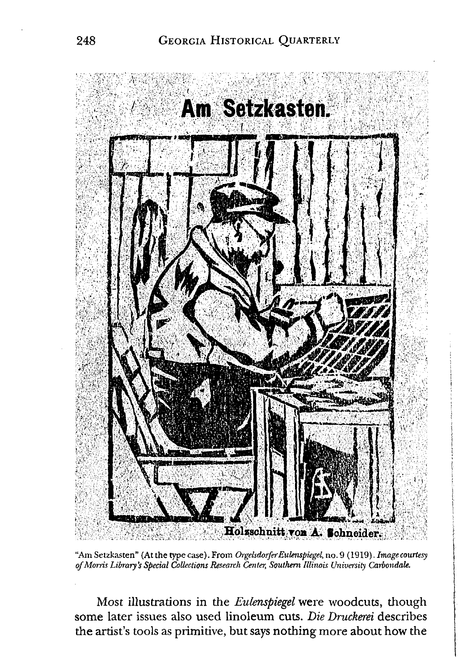

"Am Setzkasten" (At the type case). From *OrgelsdorferEulenspiegel,* no. 9 (1919). *Image courtesy of Morris Library's Special Collections Research Center, Southern Illinois University Carbondale.*

Most illustrations in the *Eulenspiegel* were woodcuts, though some later issues also used linoleum cuts. *Die Druckerei* describes the artist's tools as primitive, but says nothing more about how the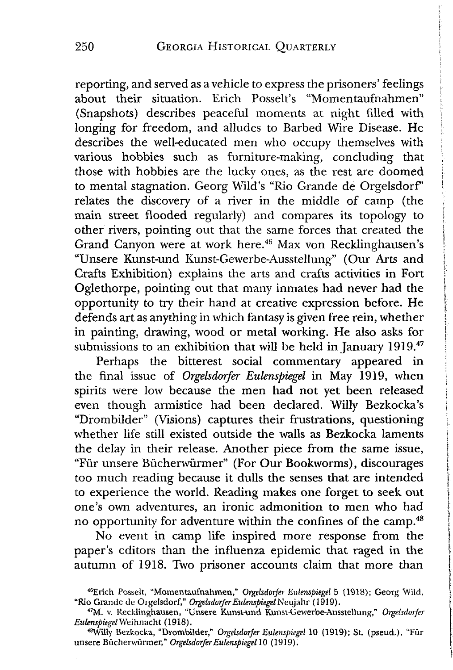reporting, and served as a vehicle to express the prisoners' feelings about their situation. Erich Posselt's "Momentaufnahmen" (Snapshots) describes peaceful moments at night filled with longing for freedom, and alludes to Barbed Wire Disease. He describes the well-educated men who occupy themselves with various hobbies such as furniture-making, concluding that those with hobbies are the lucky ones, as the rest are doomed to mental stagnation. Georg Wild's "Rio Grande de Orgelsdorf' relates the discovery of a river in the middle of camp (the main street flooded regularly) and compares its topology to other rivers, pointing out that the same forces that created the Grand Canyon were at work here.46 Max von Recklinghausen's "Unsere Kunst-und Kunst-Gewerbe-Ausstellung" (Our Arts and Crafts Exhibition) explains the arts and crafts activities in Fort Oglethorpe, pointing out that many inmates had never had the opportunity to try their hand at creative expression before. He defends art as anything in which fantasy is given free rein, whether in painting, drawing, wood or metal working. He also asks for submissions to an exhibition that will be held in January 1919.<sup>47</sup>

Perhaps the bitterest social commentary appeared in the final issue of *Orgelsdorfer Eulenspiegel* in May 1919, when spirits were low because the men had not yet been released even though armistice had been declared. Willy Bezkocka's "Drombilder" (Visions) captures their frustrations, questioning whether life still existed outside the walls as Bezkocka laments the delay in their release. Another piece from the same issue, "Fur unsere Bucherwurmer" (For Our Bookworms), discourages too much reading because it dulls the senses that are intended to experience the world. Reading makes one forget to seek out one's own adventures, an ironic admonition to men who had no opportunity for adventure within the confines of the camp.48

No event in camp life inspired more response from the paper's editors than the influenza epidemic that raged in the autumn of 1918. Two prisoner accounts claim that more than

<sup>46</sup>Erich Posselt, "Momentaufnahmen," *Orgelsdorfer Eulenspiegel* 5 (1918); Georg Wild, "Rio Grande de Orgelsdorf," *Orgelsdorfer Eulenspiegel* Nc u j ahr (1919).

<sup>47</sup>M. v. Recklinghausen, "Unsere Kunst-und Kunst-Gewerbe-Ausstellung," *Orgelsdorfer Eulenspiegel* Weihnacht (1918).

<sup>48</sup>Willy Bezkocka, "Drombilder," *Orgelsdorfer Eulenspiegel* 10 (1919); St. (pseud.), "Fur unsere Bucherwurmer," *Orgelsdorfer Eulenspiegel* 10 (1919).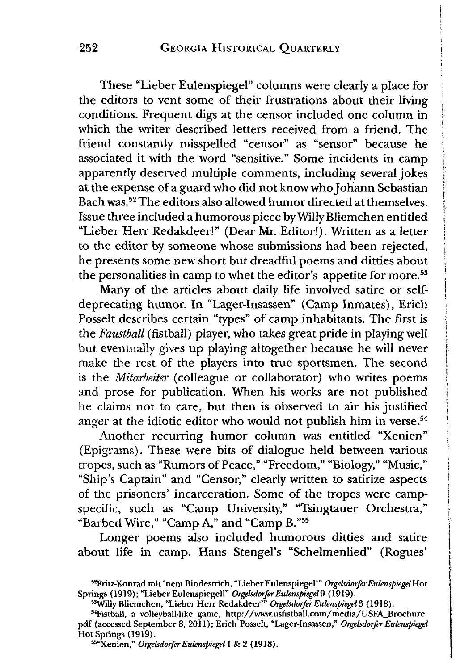These "Lieber Eulenspiegel" columns were clearly a place for **<sup>i</sup>** the editors to vent some of their frustrations about their living conditions. Frequent digs at the censor included one column in which the writer described letters received from a friend. The friend constantly misspelled "censor" as "sensor" because he associated it with the word "sensitive." Some incidents in camp **<sup>j</sup>** apparently deserved multiple comments, including several jokes *i* at the expense of a guard who did not know who Johann Sebastian j Bach was.<sup>52</sup> The editors also allowed humor directed at themselves. Issue three included a humorous piece by Willy Bliemchen entitled "Lieber Herr Redakdeer!" (Dear Mr. Editor!). Written as a letter to the editor by someone whose submissions had been rejected, he presents some new short but dreadful poems and ditties about the personalities in camp to whet the editor's appetite for more.<sup>53</sup>

Many of the articles about daily life involved satire or self- **<sup>j</sup>** deprecating humor. In "Lager-Insassen" (Camp Inmates), Erich j Posselt describes certain "types" of camp inhabitants. The first is the *Faustball* (fistball) player, who takes great pride in playing well j but eventually gives up playing altogether because he will never make the rest of the players into true sportsmen. The second is the *Mitarbeiter* (colleague or collaborator) who writes poems and prose for publication. When his works are not published **<sup>j</sup>** he claims not to care, but then is observed to air his justified **<sup>j</sup>** anger at the idiotic editor who would not publish him in verse.<sup>54</sup>

Another recurring humor column was entitled "Xenien" (Epigrams). These were bits of dialogue held between various tropes, such as "Rumors of Peace," "Freedom," "Biology," "Music," "Ship's Captain" and "Censor," clearly written to satirize aspects of the prisoners' incarceration. Some of the tropes were campspecific, such as "Camp University," "Tsingtauer Orchestra," "Barbed Wire," "Camp A," and "Camp B."55

Longer poems also included humorous ditties and satire about life in camp. Hans Stengel's "Schelmenlied" (Rogues'

<sup>52</sup>Fritz-Konrad mit 'nem Bindestrich, "LieberEulenspiegel!" *Orgelsdorfer EulenspiegelHot* Springs (1919); "Lieber Eulenspiegel!" *Orgelsdorfer Eulenspiegel 9* (1919).

<sup>&</sup>quot;Willy Bliemchen, "Lieber Herr Redakdeer!" *Orgelsdorfer Eulenspiegel^* (1918).

<sup>54</sup>Fistball, a volleyball-like game, [http://www.usfistball.com/media/USFA\\_Brochure.](http://www.usfistball.com/media/USFA_Brochure) pdf (accessed September 8, 2011); Erich Posselt, "Lager-Insassen," *Orgelsdorfer Eulenspiegel* Hot Springs (1919).

<sup>&</sup>quot; "Xenien," *Orgelsdorfer Eulenspiegel* 1 & 2 (1918).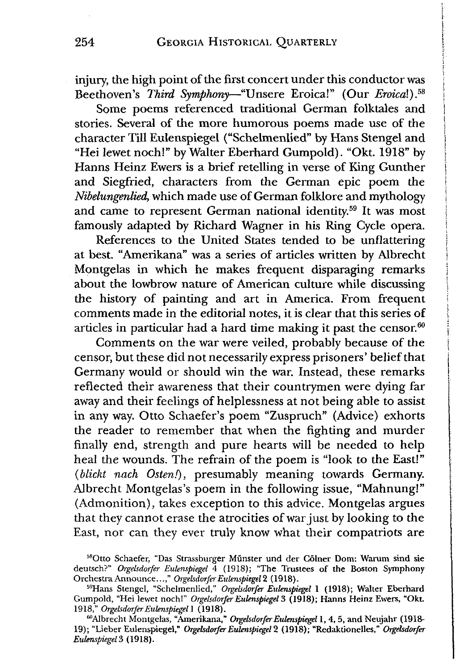injury, the high point of the first concert under this conductor was Beethoven's *Third Symphony*—"Unsere Eroica!" (Our *Eroical).5s*

Some poems referenced traditional German folktales and stories. Several of the more humorous poems made use of the character Till Eulenspiegel ("Schelmenlied" by Hans Stengel and "Hei lewet noch!" by Walter Eberhard Gumpold). "Okt. 1918" by Hanns Heinz Ewers is a brief retelling in verse of King Gunther and Siegfried, characters from the German epic poem the *Nibelungenlied,* which made use of German folklore and mythology and came to represent German national identity.<sup>59</sup> It was most famously adapted by Richard Wagner in his Ring Cycle opera.

References to the United States tended to be unflattering at best. "Amerikana" was a series of articles written by Albrecht Montgelas in which he makes frequent disparaging remarks about the lowbrow nature of American culture while discussing the history of painting and art in America. From frequent comments made in the editorial notes, it is clear that this series of articles in particular had a hard time making it past the censor. $60$ 

Comments on the war were veiled, probably because of the censor, but these did not necessarily express prisoners' belief that Germany would or should win the war. Instead, these remarks reflected their awareness that their countrymen were dying far away and their feelings of helplessness at not being able to assist in any way. Otto Schaefer's poem "Zuspruch" (Advice) exhorts the reader to remember that when the fighting and murder finally end, strength and pure hearts will be needed to help heal the wounds. The refrain of the poem is "look to the East!" *(blickt nach Ostenf),* presumably meaning towards Germany. Albrecht Montgelas's poem in the following issue, "Mahnung!" (Admonition), takes exception to this advice. Montgelas argues that they cannot erase the atrocities of war just by looking to the East, nor can they ever truly know what their compatriots are

<sup>58</sup>Otto Schaefer, "Das Strassburger Munster und der Coiner Dom: Warum sind sie deutsch?" *Orgebdorfer Eulenspiegel* 4 (1918); "The Trustees of the Boston Symphony Orchestra Announce...," *Orgelsdorfer Eulenspiegel* 2 (1918).

<sup>59</sup>Hans Stengel, "Schelmenlied," *Orgebdorfer Eulenspiegel* 1 (1918); Walter Eberhard Gumpold, "Hei lewet noch!" *Orgebdorfer Eulenspiegel* 3 (1918); Hanns Heinz Ewers, "Okt. 1918," *Orgebdorfer Eulenspiegel I* (1918).

<sup>&</sup>quot;Albrecht Montgelas, "Amerikana," *Orgebdorfer Eulenspiegel* 1, 4, 5, and Neujahr (1918- 19); "Lieber Eulenspiegel," *Orgebdorfer Eulenspiegel* 2 (1918); "Redakuonelles," *Orgebdorfer Eulenspiegel*3 (1918).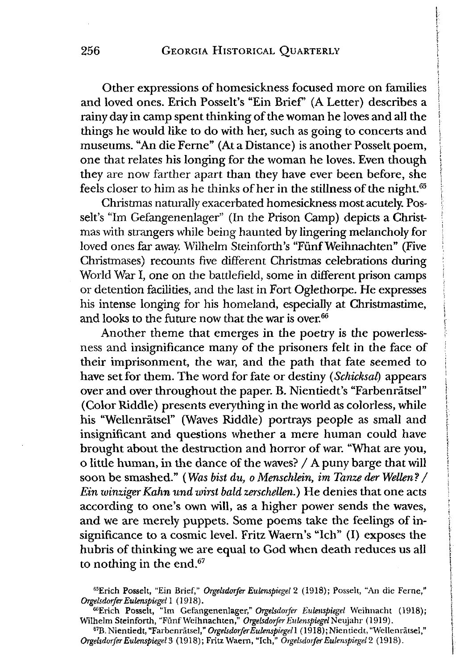Other expressions of homesickness focused more on families and loved ones. Erich Posselt's "Ein Brief' (A Letter) describes a rainy day in camp spent thinking of the woman he loves and all the things he would like to do with her, such as going to concerts and museums. "An die Ferne" (At a Distance) is another Posselt poem, one that relates his longing for the woman he loves. Even though they are now farther apart than they have ever been before, she feels closer to him as he thinks of her in the stillness of the night.<sup>65</sup>

Christmas naturally exacerbated homesickness most acutely. Posselt's "Im Gefangenenlager" (In the Prison Camp) depicts a Christmas with strangers while being haunted by lingering melancholy for loved ones far away. Wilhelm Steinforth's "Fünf Weihnachten" (Five Christmases) recounts five different Christmas celebrations during World War I, one on the battlefield, some in different prison camps or detention facilities, and the last in Fort Oglethorpe. He expresses his intense longing for his homeland, especially at Christmastime, and looks to the future now that the war is over. $66$ 

Another theme that emerges in the poetry is the powerlessness and insignificance many of the prisoners felt in the face of their imprisonment, the war, and the path that fate seemed to have set for them. The word for fate or destiny (*Schicksal)* appears over and over throughout the paper. B. Nientiedt's "Farbenrätsel" (Color Riddle) presents everything in the world as colorless, while his "Wellenratsel" (Waves Riddle) portrays people as small and insignificant and questions whether a mere human could have brought about the destruction and horror of war. "What are you, o litde human, in the dance of the waves? / A puny barge that will soon be smashed." (*Was bist du, o Menschlein, im Tanze der Wellen?* / *Ein winzigerKahn und wirst bald zerschellen.)* He denies that one acts according to one's own will, as a higher power sends the waves, and we are merely puppets. Some poems take the feelings of insignificance to a cosmic level. Fritz Waern's "Ich" (I) exposes the hubris of thinking we are equal to God when death reduces us all to nothing in the end.67

<sup>65</sup>Erich Posselt, "Ein Brief," *Orgelsdorfer Eulenspiegel* 2 (1918); Posselt, "An die Feme," *Orgelsdorfer Eulenspiegel* 1 (1918).

<sup>66</sup>Erich Posselt, "Im Gefangenenlager," *Orgelsdorfer Eulenspiegel* Weihnacht (1918); Wilhelm Steinforth, "Funf Weihnachten," *Orgelsdorfer Eulenspiegel* N'eujahr (1919).

<sup>&</sup>lt;sup>67</sup>B. Nientiedt, "Farbenrätsel," Orgelsdorfer Eulenspiegel1 (1918); Nientiedt, "Wellenrätsel," *Orgelsdorfer Eulenspiegel 3* (1918); Fritz Waem, "Ich," *Orgelsdorfer Eulenspiegel* 2 (1918).